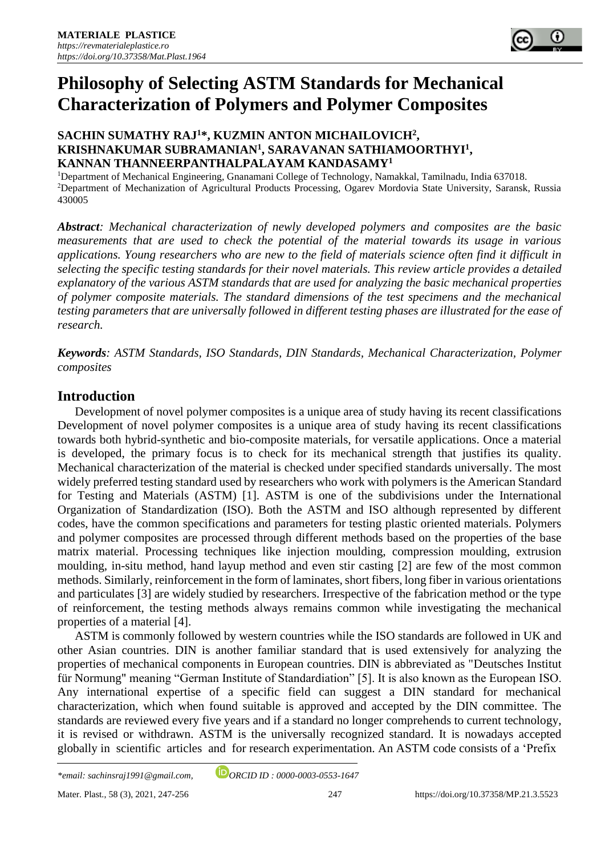

# **Philosophy of Selecting ASTM Standards for Mechanical Characterization of Polymers and Polymer Composites**

## **SACHIN SUMATHY RAJ<sup>1</sup>\*, KUZMIN ANTON MICHAILOVICH<sup>2</sup> , KRISHNAKUMAR SUBRAMANIAN<sup>1</sup> , SARAVANAN SATHIAMOORTHYI<sup>1</sup> , KANNAN THANNEERPANTHALPALAYAM KANDASAMY<sup>1</sup>**

<sup>1</sup>Department of Mechanical Engineering, Gnanamani College of Technology, Namakkal, Tamilnadu, India 637018. <sup>2</sup>Department of Mechanization of Agricultural Products Processing, Ogarev Mordovia State University, Saransk, Russia 430005

*Abstract: Mechanical characterization of newly developed polymers and composites are the basic measurements that are used to check the potential of the material towards its usage in various applications. Young researchers who are new to the field of materials science often find it difficult in selecting the specific testing standards for their novel materials. This review article provides a detailed explanatory of the various ASTM standards that are used for analyzing the basic mechanical properties of polymer composite materials. The standard dimensions of the test specimens and the mechanical testing parameters that are universally followed in different testing phases are illustrated for the ease of research.*

*Keywords: ASTM Standards, ISO Standards, DIN Standards, Mechanical Characterization, Polymer composites*

# **Introduction**

Development of novel polymer composites is a unique area of study having its recent classifications Development of novel polymer composites is a unique area of study having its recent classifications towards both hybrid-synthetic and bio-composite materials, for versatile applications. Once a material is developed, the primary focus is to check for its mechanical strength that justifies its quality. Mechanical characterization of the material is checked under specified standards universally. The most widely preferred testing standard used by researchers who work with polymers is the American Standard for Testing and Materials (ASTM) [1]. ASTM is one of the subdivisions under the International Organization of Standardization (ISO). Both the ASTM and ISO although represented by different codes, have the common specifications and parameters for testing plastic oriented materials. Polymers and polymer composites are processed through different methods based on the properties of the base matrix material. Processing techniques like injection moulding, compression moulding, extrusion moulding, in-situ method, hand layup method and even stir casting [2] are few of the most common methods. Similarly, reinforcement in the form of laminates, short fibers, long fiber in various orientations and particulates [3] are widely studied by researchers. Irrespective of the fabrication method or the type of reinforcement, the testing methods always remains common while investigating the mechanical properties of a material [4].

ASTM is commonly followed by western countries while the ISO standards are followed in UK and other Asian countries. DIN is another familiar standard that is used extensively for analyzing the properties of mechanical components in European countries. DIN is abbreviated as ["Deutsches Institut](https://en.wikipedia.org/wiki/Deutsches_Institut_f%C3%BCr_Normung)  [für Normung"](https://en.wikipedia.org/wiki/Deutsches_Institut_f%C3%BCr_Normung) meaning "German Institute of Standardiation" [5]. It is also known as the European ISO. Any international expertise of a specific field can suggest a DIN standard for mechanical characterization, which when found suitable is approved and accepted by the DIN committee. The standards are reviewed every five years and if a standard no longer comprehends to current technology, it is revised or withdrawn. ASTM is the universally recognized standard. It is nowadays accepted globally in scientific articles and for research experimentation. An ASTM code consists of a 'Prefix

*\*email[: sachinsraj1991@gmail.com,](mailto:sachinsraj1991@gmail.com) ORCID ID : 0000-0003-0553-1647*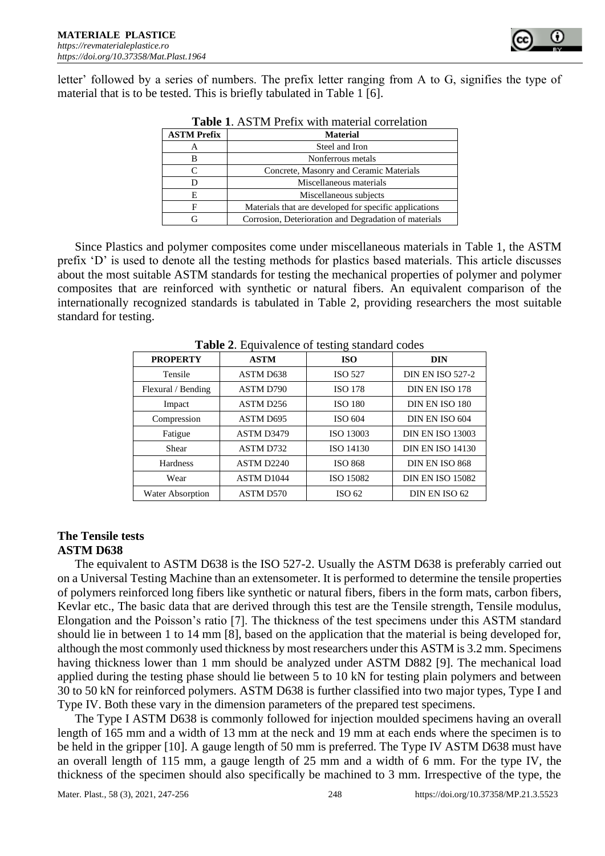

letter' followed by a series of numbers. The prefix letter ranging from A to G, signifies the type of material that is to be tested. This is briefly tabulated in Table 1 [6].

| <b>Table 1. ASTM Prefix with material correlation</b> |                                                        |  |  |  |
|-------------------------------------------------------|--------------------------------------------------------|--|--|--|
| <b>ASTM Prefix</b>                                    | <b>Material</b>                                        |  |  |  |
| А                                                     | Steel and Iron                                         |  |  |  |
| в                                                     | Nonferrous metals                                      |  |  |  |
| C                                                     | Concrete, Masonry and Ceramic Materials                |  |  |  |
| D                                                     | Miscellaneous materials                                |  |  |  |
| Е                                                     | Miscellaneous subjects                                 |  |  |  |
| F                                                     | Materials that are developed for specific applications |  |  |  |
| G                                                     | Corrosion, Deterioration and Degradation of materials  |  |  |  |

Since Plastics and polymer composites come under miscellaneous materials in Table 1, the ASTM prefix 'D' is used to denote all the testing methods for plastics based materials. This article discusses about the most suitable ASTM standards for testing the mechanical properties of polymer and polymer composites that are reinforced with synthetic or natural fibers. An equivalent comparison of the internationally recognized standards is tabulated in Table 2, providing researchers the most suitable standard for testing.

| <b>PROPERTY</b>    | <b>ASTM</b> | <b>ISO</b>        | <b>DIN</b>              |
|--------------------|-------------|-------------------|-------------------------|
| Tensile            | ASTM D638   | <b>ISO 527</b>    | <b>DIN EN ISO 527-2</b> |
| Flexural / Bending | ASTM D790   | <b>ISO 178</b>    | DIN EN ISO 178          |
| Impact             | ASTM D256   | <b>ISO 180</b>    | DIN EN ISO 180          |
| Compression        | ASTM D695   | ISO 604           | DIN EN ISO 604          |
| Fatigue            | ASTM D3479  | ISO 13003         | <b>DIN EN ISO 13003</b> |
| Shear              | ASTM D732   | ISO 14130         | <b>DIN EN ISO 14130</b> |
| <b>Hardness</b>    | ASTM D2240  | <b>ISO 868</b>    | DIN EN ISO 868          |
| Wear               | ASTM D1044  | ISO 15082         | <b>DIN EN ISO 15082</b> |
| Water Absorption   | ASTM D570   | ISO <sub>62</sub> | DIN EN ISO 62           |

**Table 2.** Equivalence of testing standard codes

## **The Tensile tests ASTM D638**

The equivalent to ASTM D638 is the ISO 527-2. Usually the ASTM D638 is preferably carried out on a Universal Testing Machine than an extensometer. It is performed to determine the tensile properties of polymers reinforced long fibers like synthetic or natural fibers, fibers in the form mats, carbon fibers, Kevlar etc., The basic data that are derived through this test are the Tensile strength, Tensile modulus, Elongation and the Poisson's ratio [7]. The thickness of the test specimens under this ASTM standard should lie in between 1 to 14 mm [8], based on the application that the material is being developed for, although the most commonly used thickness by most researchers under this ASTM is 3.2 mm. Specimens having thickness lower than 1 mm should be analyzed under ASTM D882 [9]. The mechanical load applied during the testing phase should lie between 5 to 10 kN for testing plain polymers and between 30 to 50 kN for reinforced polymers. ASTM D638 is further classified into two major types, Type I and Type IV. Both these vary in the dimension parameters of the prepared test specimens.

The Type I ASTM D638 is commonly followed for injection moulded specimens having an overall length of 165 mm and a width of 13 mm at the neck and 19 mm at each ends where the specimen is to be held in the gripper [10]. A gauge length of 50 mm is preferred. The Type IV ASTM D638 must have an overall length of 115 mm, a gauge length of 25 mm and a width of 6 mm. For the type IV, the thickness of the specimen should also specifically be machined to 3 mm. Irrespective of the type, the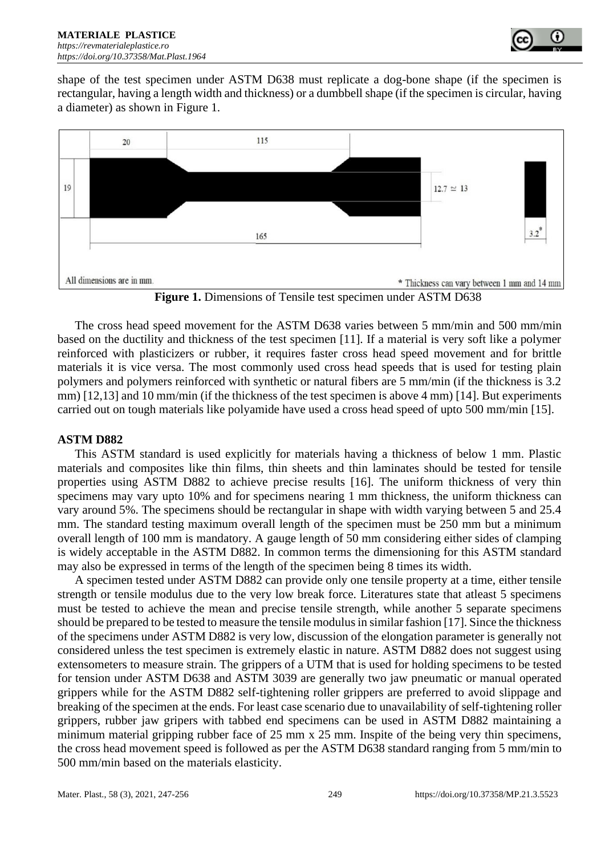

shape of the test specimen under ASTM D638 must replicate a dog-bone shape (if the specimen is rectangular, having a length width and thickness) or a dumbbell shape (if the specimen is circular, having a diameter) as shown in Figure 1.



**Figure 1.** Dimensions of Tensile test specimen under ASTM D638

The cross head speed movement for the ASTM D638 varies between 5 mm/min and 500 mm/min based on the ductility and thickness of the test specimen [11]. If a material is very soft like a polymer reinforced with plasticizers or rubber, it requires faster cross head speed movement and for brittle materials it is vice versa. The most commonly used cross head speeds that is used for testing plain polymers and polymers reinforced with synthetic or natural fibers are 5 mm/min (if the thickness is 3.2 mm) [12,13] and 10 mm/min (if the thickness of the test specimen is above 4 mm) [14]. But experiments carried out on tough materials like polyamide have used a cross head speed of upto 500 mm/min [15].

## **ASTM D882**

This ASTM standard is used explicitly for materials having a thickness of below 1 mm. Plastic materials and composites like thin films, thin sheets and thin laminates should be tested for tensile properties using ASTM D882 to achieve precise results [16]. The uniform thickness of very thin specimens may vary upto 10% and for specimens nearing 1 mm thickness, the uniform thickness can vary around 5%. The specimens should be rectangular in shape with width varying between 5 and 25.4 mm. The standard testing maximum overall length of the specimen must be 250 mm but a minimum overall length of 100 mm is mandatory. A gauge length of 50 mm considering either sides of clamping is widely acceptable in the ASTM D882. In common terms the dimensioning for this ASTM standard may also be expressed in terms of the length of the specimen being 8 times its width.

A specimen tested under ASTM D882 can provide only one tensile property at a time, either tensile strength or tensile modulus due to the very low break force. Literatures state that atleast 5 specimens must be tested to achieve the mean and precise tensile strength, while another 5 separate specimens should be prepared to be tested to measure the tensile modulus in similar fashion [17]. Since the thickness of the specimens under ASTM D882 is very low, discussion of the elongation parameter is generally not considered unless the test specimen is extremely elastic in nature. ASTM D882 does not suggest using extensometers to measure strain. The grippers of a UTM that is used for holding specimens to be tested for tension under ASTM D638 and ASTM 3039 are generally two jaw pneumatic or manual operated grippers while for the ASTM D882 self-tightening roller grippers are preferred to avoid slippage and breaking of the specimen at the ends. For least case scenario due to unavailability of self-tightening roller grippers, rubber jaw gripers with tabbed end specimens can be used in ASTM D882 maintaining a minimum material gripping rubber face of 25 mm x 25 mm. Inspite of the being very thin specimens, the cross head movement speed is followed as per the ASTM D638 standard ranging from 5 mm/min to 500 mm/min based on the materials elasticity.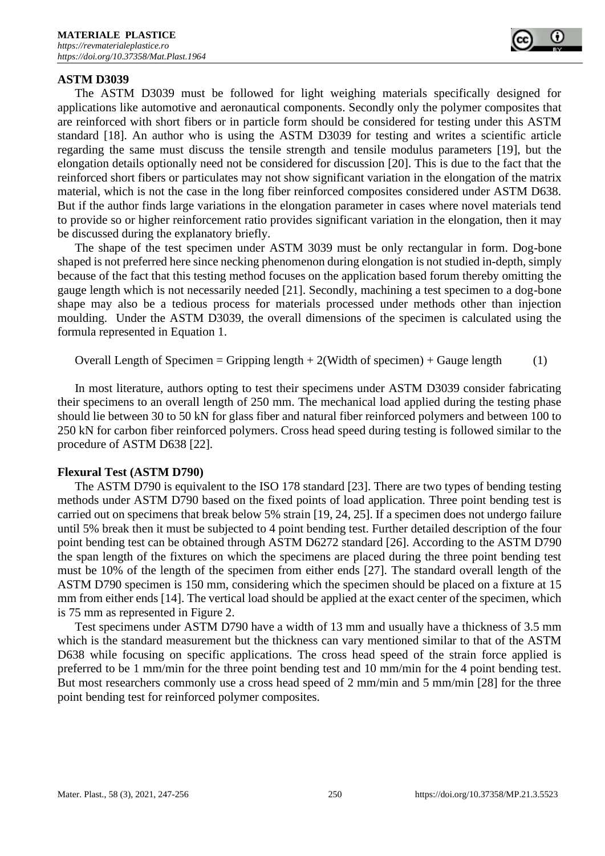#### **ASTM D3039**

The ASTM D3039 must be followed for light weighing materials specifically designed for applications like automotive and aeronautical components. Secondly only the polymer composites that are reinforced with short fibers or in particle form should be considered for testing under this ASTM standard [18]. An author who is using the ASTM D3039 for testing and writes a scientific article regarding the same must discuss the tensile strength and tensile modulus parameters [19], but the elongation details optionally need not be considered for discussion [20]. This is due to the fact that the reinforced short fibers or particulates may not show significant variation in the elongation of the matrix material, which is not the case in the long fiber reinforced composites considered under ASTM D638. But if the author finds large variations in the elongation parameter in cases where novel materials tend to provide so or higher reinforcement ratio provides significant variation in the elongation, then it may be discussed during the explanatory briefly.

The shape of the test specimen under ASTM 3039 must be only rectangular in form. Dog-bone shaped is not preferred here since necking phenomenon during elongation is not studied in-depth, simply because of the fact that this testing method focuses on the application based forum thereby omitting the gauge length which is not necessarily needed [21]. Secondly, machining a test specimen to a dog-bone shape may also be a tedious process for materials processed under methods other than injection moulding. Under the ASTM D3039, the overall dimensions of the specimen is calculated using the formula represented in Equation 1.

Overall Length of Specimen = Gripping length +  $2$ (Width of specimen) + Gauge length (1)

In most literature, authors opting to test their specimens under ASTM D3039 consider fabricating their specimens to an overall length of 250 mm. The mechanical load applied during the testing phase should lie between 30 to 50 kN for glass fiber and natural fiber reinforced polymers and between 100 to 250 kN for carbon fiber reinforced polymers. Cross head speed during testing is followed similar to the procedure of ASTM D638 [22].

#### **Flexural Test (ASTM D790)**

The ASTM D790 is equivalent to the ISO 178 standard [23]. There are two types of bending testing methods under ASTM D790 based on the fixed points of load application. Three point bending test is carried out on specimens that break below 5% strain [19, 24, 25]. If a specimen does not undergo failure until 5% break then it must be subjected to 4 point bending test. Further detailed description of the four point bending test can be obtained through ASTM D6272 standard [26]. According to the ASTM D790 the span length of the fixtures on which the specimens are placed during the three point bending test must be 10% of the length of the specimen from either ends [27]. The standard overall length of the ASTM D790 specimen is 150 mm, considering which the specimen should be placed on a fixture at 15 mm from either ends [14]. The vertical load should be applied at the exact center of the specimen, which is 75 mm as represented in Figure 2.

Test specimens under ASTM D790 have a width of 13 mm and usually have a thickness of 3.5 mm which is the standard measurement but the thickness can vary mentioned similar to that of the ASTM D638 while focusing on specific applications. The cross head speed of the strain force applied is preferred to be 1 mm/min for the three point bending test and 10 mm/min for the 4 point bending test. But most researchers commonly use a cross head speed of 2 mm/min and 5 mm/min [28] for the three point bending test for reinforced polymer composites.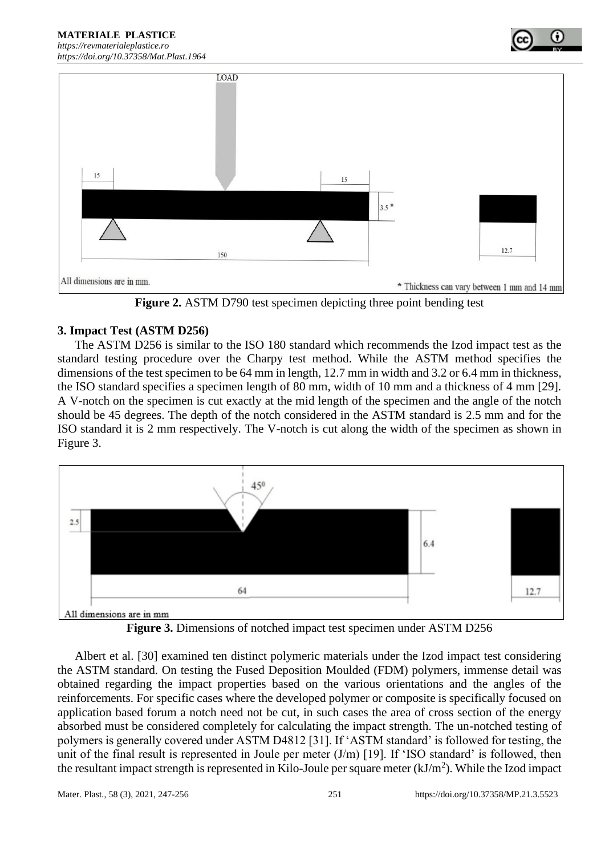#### **MATERIALE PLASTICE**  *[https://revmaterialeplastice.ro](https://revmaterialeplastice.ro/) https://doi.org/10.37358/Mat.Plast.1964*





**Figure 2.** ASTM D790 test specimen depicting three point bending test

## **3. Impact Test (ASTM D256)**

The ASTM D256 is similar to the ISO 180 standard which recommends the Izod impact test as the standard testing procedure over the Charpy test method. While the ASTM method specifies the dimensions of the test specimen to be 64 mm in length, 12.7 mm in width and 3.2 or 6.4 mm in thickness, the ISO standard specifies a specimen length of 80 mm, width of 10 mm and a thickness of 4 mm [29]. A V-notch on the specimen is cut exactly at the mid length of the specimen and the angle of the notch should be 45 degrees. The depth of the notch considered in the ASTM standard is 2.5 mm and for the ISO standard it is 2 mm respectively. The V-notch is cut along the width of the specimen as shown in Figure 3.





Albert et al. [30] examined ten distinct polymeric materials under the Izod impact test considering the ASTM standard. On testing the Fused Deposition Moulded (FDM) polymers, immense detail was obtained regarding the impact properties based on the various orientations and the angles of the reinforcements. For specific cases where the developed polymer or composite is specifically focused on application based forum a notch need not be cut, in such cases the area of cross section of the energy absorbed must be considered completely for calculating the impact strength. The un-notched testing of polymers is generally covered under ASTM D4812 [31]. If 'ASTM standard' is followed for testing, the unit of the final result is represented in Joule per meter  $(J/m)$  [19]. If 'ISO standard' is followed, then the resultant impact strength is represented in Kilo-Joule per square meter  $(kJ/m<sup>2</sup>)$ . While the Izod impact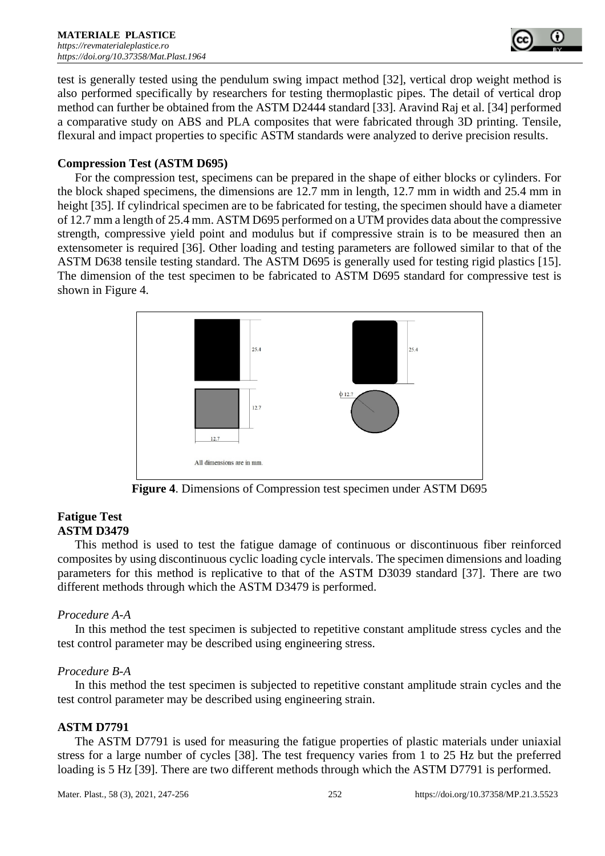

test is generally tested using the pendulum swing impact method [32], vertical drop weight method is also performed specifically by researchers for testing thermoplastic pipes. The detail of vertical drop method can further be obtained from the ASTM D2444 standard [33]. Aravind Raj et al. [34] performed a comparative study on ABS and PLA composites that were fabricated through 3D printing. Tensile, flexural and impact properties to specific ASTM standards were analyzed to derive precision results.

## **Compression Test (ASTM D695)**

For the compression test, specimens can be prepared in the shape of either blocks or cylinders. For the block shaped specimens, the dimensions are 12.7 mm in length, 12.7 mm in width and 25.4 mm in height [35]. If cylindrical specimen are to be fabricated for testing, the specimen should have a diameter of 12.7 mm a length of 25.4 mm. ASTM D695 performed on a UTM provides data about the compressive strength, compressive yield point and modulus but if compressive strain is to be measured then an extensometer is required [36]. Other loading and testing parameters are followed similar to that of the ASTM D638 tensile testing standard. The ASTM D695 is generally used for testing rigid plastics [15]. The dimension of the test specimen to be fabricated to ASTM D695 standard for compressive test is shown in Figure 4.



**Figure 4**. Dimensions of Compression test specimen under ASTM D695

## **Fatigue Test ASTM D3479**

This method is used to test the fatigue damage of continuous or discontinuous fiber reinforced composites by using discontinuous cyclic loading cycle intervals. The specimen dimensions and loading parameters for this method is replicative to that of the ASTM D3039 standard [37]. There are two different methods through which the ASTM D3479 is performed.

## *Procedure A-A*

In this method the test specimen is subjected to repetitive constant amplitude stress cycles and the test control parameter may be described using engineering stress.

## *Procedure B-A*

In this method the test specimen is subjected to repetitive constant amplitude strain cycles and the test control parameter may be described using engineering strain.

## **ASTM D7791**

The ASTM D7791 is used for measuring the fatigue properties of plastic materials under uniaxial stress for a large number of cycles [38]. The test frequency varies from 1 to 25 Hz but the preferred loading is 5 Hz [39]. There are two different methods through which the ASTM D7791 is performed.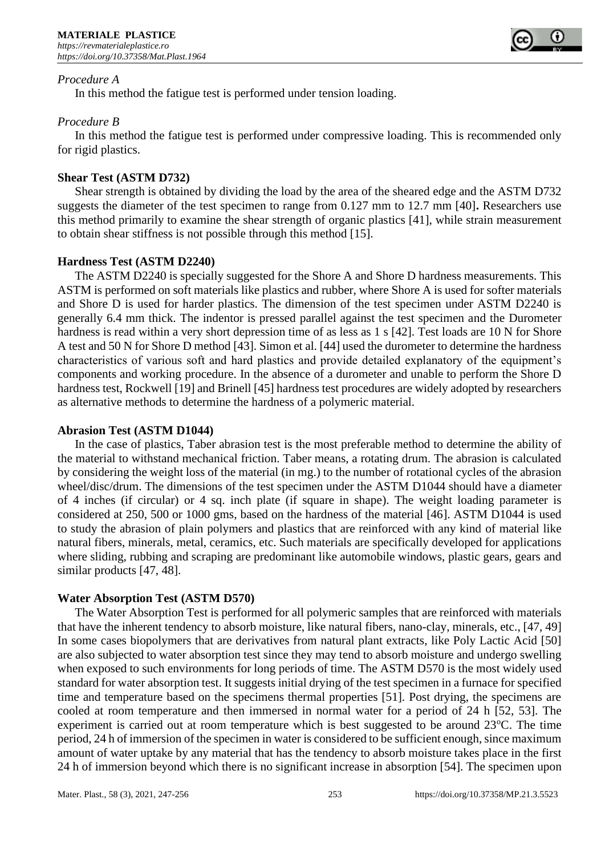

### *Procedure A*

In this method the fatigue test is performed under tension loading.

## *Procedure B*

In this method the fatigue test is performed under compressive loading. This is recommended only for rigid plastics.

## **Shear Test (ASTM D732)**

Shear strength is obtained by dividing the load by the area of the sheared edge and the ASTM D732 suggests the diameter of the test specimen to range from 0.127 mm to 12.7 mm [40]**.** Researchers use this method primarily to examine the shear strength of organic plastics [41], while strain measurement to obtain shear stiffness is not possible through this method [15].

## **Hardness Test (ASTM D2240)**

The ASTM D2240 is specially suggested for the Shore A and Shore D hardness measurements. This ASTM is performed on soft materials like plastics and rubber, where Shore A is used for softer materials and Shore D is used for harder plastics. The dimension of the test specimen under ASTM D2240 is generally 6.4 mm thick. The indentor is pressed parallel against the test specimen and the Durometer hardness is read within a very short depression time of as less as 1 s [42]. Test loads are 10 N for Shore A test and 50 N for Shore D method [43]. Simon et al. [44] used the durometer to determine the hardness characteristics of various soft and hard plastics and provide detailed explanatory of the equipment's components and working procedure. In the absence of a durometer and unable to perform the Shore D hardness test, Rockwell [19] and Brinell [45] hardness test procedures are widely adopted by researchers as alternative methods to determine the hardness of a polymeric material.

#### **Abrasion Test (ASTM D1044)**

In the case of plastics, Taber abrasion test is the most preferable method to determine the ability of the material to withstand mechanical friction. Taber means, a rotating drum. The abrasion is calculated by considering the weight loss of the material (in mg.) to the number of rotational cycles of the abrasion wheel/disc/drum. The dimensions of the test specimen under the ASTM D1044 should have a diameter of 4 inches (if circular) or 4 sq. inch plate (if square in shape). The weight loading parameter is considered at 250, 500 or 1000 gms, based on the hardness of the material [46]. ASTM D1044 is used to study the abrasion of plain polymers and plastics that are reinforced with any kind of material like natural fibers, minerals, metal, ceramics, etc. Such materials are specifically developed for applications where sliding, rubbing and scraping are predominant like automobile windows, plastic gears, gears and similar products [47, 48].

#### **Water Absorption Test (ASTM D570)**

The Water Absorption Test is performed for all polymeric samples that are reinforced with materials that have the inherent tendency to absorb moisture, like natural fibers, nano-clay, minerals, etc., [47, 49] In some cases biopolymers that are derivatives from natural plant extracts, like Poly Lactic Acid [50] are also subjected to water absorption test since they may tend to absorb moisture and undergo swelling when exposed to such environments for long periods of time. The ASTM D570 is the most widely used standard for water absorption test. It suggests initial drying of the test specimen in a furnace for specified time and temperature based on the specimens thermal properties [51]. Post drying, the specimens are cooled at room temperature and then immersed in normal water for a period of 24 h [52, 53]. The experiment is carried out at room temperature which is best suggested to be around  $23^{\circ}$ C. The time period, 24 h of immersion of the specimen in water is considered to be sufficient enough, since maximum amount of water uptake by any material that has the tendency to absorb moisture takes place in the first 24 h of immersion beyond which there is no significant increase in absorption [54]. The specimen upon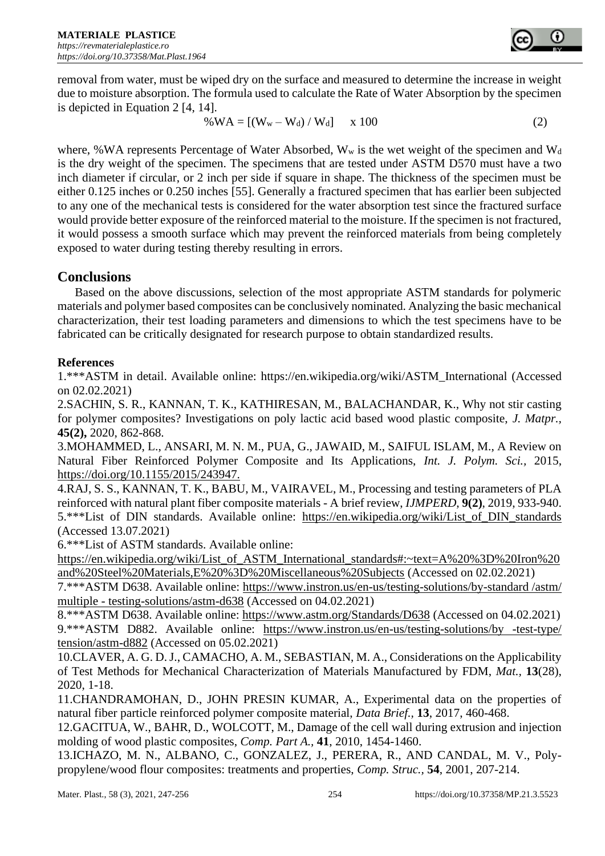removal from water, must be wiped dry on the surface and measured to determine the increase in weight due to moisture absorption. The formula used to calculate the Rate of Water Absorption by the specimen is depicted in Equation 2 [4, 14].

$$
\% WA = [(W_w - W_d) / W_d] \quad x \, 100 \tag{2}
$$

where, %WA represents Percentage of Water Absorbed,  $W_w$  is the wet weight of the specimen and  $W_d$ is the dry weight of the specimen. The specimens that are tested under ASTM D570 must have a two inch diameter if circular, or 2 inch per side if square in shape. The thickness of the specimen must be either 0.125 inches or 0.250 inches [55]. Generally a fractured specimen that has earlier been subjected to any one of the mechanical tests is considered for the water absorption test since the fractured surface would provide better exposure of the reinforced material to the moisture. If the specimen is not fractured, it would possess a smooth surface which may prevent the reinforced materials from being completely exposed to water during testing thereby resulting in errors.

# **Conclusions**

Based on the above discussions, selection of the most appropriate ASTM standards for polymeric materials and polymer based composites can be conclusively nominated. Analyzing the basic mechanical characterization, their test loading parameters and dimensions to which the test specimens have to be fabricated can be critically designated for research purpose to obtain standardized results.

# **References**

1.\*\*\*ASTM in detail. Available online: [https://en.wikipedia.org/wiki/ASTM\\_International](https://en.wikipedia.org/wiki/ASTM_International) (Accessed on 02.02.2021)

2.SACHIN, S. R., KANNAN, T. K., KATHIRESAN, M., BALACHANDAR, K., Why not stir casting for polymer composites? Investigations on poly lactic acid based wood plastic composite, *J. Matpr.,*  **45(2),** 2020, 862-868.

3.MOHAMMED, L., ANSARI, M. N. M., PUA, G., JAWAID, M., SAIFUL ISLAM, M., A Review on Natural Fiber Reinforced Polymer Composite and Its Applications, *Int. J. Polym. Sci.,* 2015, https://doi.org/10.1155/2015/243947.

4.RAJ, S. S., KANNAN, T. K., BABU, M., VAIRAVEL, M., Processing and testing parameters of PLA reinforced with natural plant fiber composite materials - A brief review, *IJMPERD*, **9(2)**, 2019, 933-940. 5.\*\*\*List of DIN standards. Available online: [https://en.wikipedia.org/wiki/List\\_of\\_DIN\\_standards](https://en.wikipedia.org/wiki/List_of_DIN_standards) (Accessed 13.07.2021)

6.\*\*\*List of ASTM standards. Available online:

[https://en.wikipedia.org/wiki/List\\_of\\_ASTM\\_International\\_standards#:~text=A%20%3D%20Iron%20](https://en.wikipedia.org/wiki/List_of_ASTM_International_standards#:~text=A%20%3D%20Iron%20and%20Steel%20Materials,E%20%3D%20Miscellaneous%20Subjects) [and%20Steel%20Materials,E%20%3D%20Miscellaneous%20Subjects](https://en.wikipedia.org/wiki/List_of_ASTM_International_standards#:~text=A%20%3D%20Iron%20and%20Steel%20Materials,E%20%3D%20Miscellaneous%20Subjects) (Accessed on 02.02.2021)

7.\*\*\*ASTM D638. Available online: [https://www.instron.us/en-us/testing-solutions/by-standard /astm/](https://www.instron.us/en-us/testing-solutions/by-standard%20/astm/%20multiple%20-%20testing-solutions/astm-d638)  multiple - [testing-solutions/astm-d638](https://www.instron.us/en-us/testing-solutions/by-standard%20/astm/%20multiple%20-%20testing-solutions/astm-d638) (Accessed on 04.02.2021)

8.\*\*\*ASTM D638. Available online:<https://www.astm.org/Standards/D638> (Accessed on 04.02.2021) 9.\*\*\*ASTM D882. Available online: https://www.instron.us/en-us/testing-solutions/by -test-type/ [tension/astm-d882](https://www.instron.us/en-us/testing-solutions/by%20-test-type/%20tension/astm-d882) (Accessed on 05.02.2021)

10.CLAVER, A. G. D. J., CAMACHO, A. M., SEBASTIAN, M. A., Considerations on the Applicability of Test Methods for Mechanical Characterization of Materials Manufactured by FDM, *Mat.,* **13**(28), 2020, 1-18.

11.CHANDRAMOHAN, D., JOHN PRESIN KUMAR, A., Experimental data on the properties of natural fiber particle reinforced polymer composite material, *Data Brief.,* **13**, 2017, 460-468.

12.GACITUA, W., BAHR, D., WOLCOTT, M., Damage of the cell wall during extrusion and injection molding of wood plastic composites, *Comp. Part A.,* **41**, 2010, 1454-1460.

13.ICHAZO, M. N., ALBANO, C., GONZALEZ, J., PERERA, R., AND CANDAL, M. V., Polypropylene/wood flour composites: treatments and properties, *Comp. Struc.,* **54**, 2001, 207-214.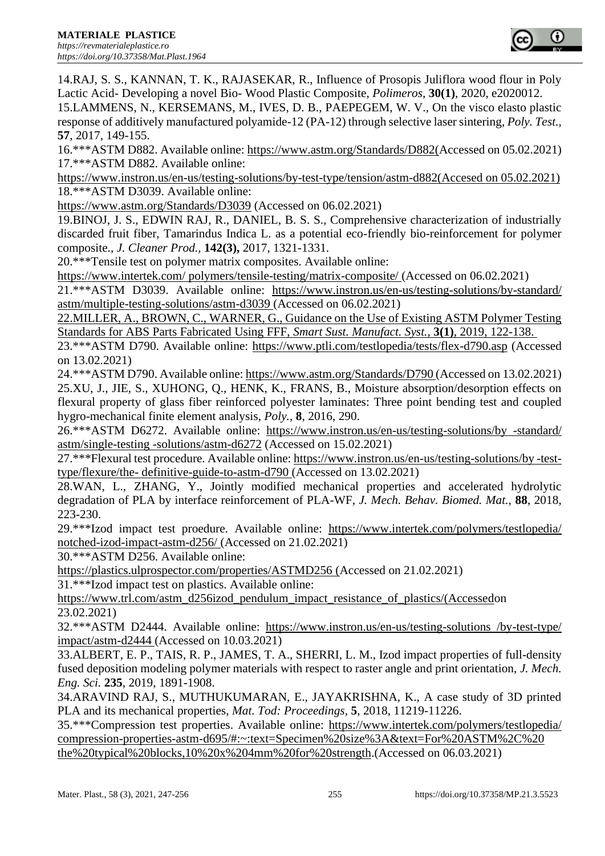

14.RAJ, S. S., KANNAN, T. K., RAJASEKAR, R., Influence of Prosopis Juliflora wood flour in Poly Lactic Acid- Developing a novel Bio- Wood Plastic Composite, *Polimeros,* **30(1)**, 2020, e2020012.

15.LAMMENS, N., KERSEMANS, M., IVES, D. B., PAEPEGEM, W. V., On the visco elasto plastic response of additively manufactured polyamide-12 (PA-12) through selective laser sintering, *Poly. Test.,*  **57**, 2017, 149-155.

16.\*\*\*ASTM D882. Available online: [https://www.astm.org/Standards/D882\(](https://www.astm.org/Standards/D882)Accessed on 05.02.2021) 17.\*\*\*ASTM D882. Available online:

[https://www.instron.us/en-us/testing-solutions/by-test-type/tension/astm-d882\(Accesed](https://www.instron.us/en-us/testing-solutions/by-test-type/tension/astm-d882(Accesed) on 05.02.2021) 18.\*\*\*ASTM D3039. Available online:

<https://www.astm.org/Standards/D3039> (Accessed on 06.02.2021)

19.BINOJ, J. S., EDWIN RAJ, R., DANIEL, B. S. S., Comprehensive characterization of industrially discarded fruit fiber, Tamarindus Indica L. as a potential eco-friendly bio-reinforcement for polymer composite., *J. Cleaner Prod.,* **142(3),** 2017, 1321-1331.

20.\*\*\*Tensile test on polymer matrix composites. Available online:

[https://www.intertek.com/ polymers/tensile-testing/matrix-composite/](https://www.intertek.com/%20polymers/tensile-testing/matrix-composite/) (Accessed on 06.02.2021)

21.\*\*\*ASTM D3039. Available online: [https://www.instron.us/en-us/testing-solutions/by-standard/](https://www.instron.us/en-us/testing-solutions/by-standard/%20astm/multiple-testing-solutions/astm-d3039)  [astm/multiple-testing-solutions/astm-d3039](https://www.instron.us/en-us/testing-solutions/by-standard/%20astm/multiple-testing-solutions/astm-d3039) (Accessed on 06.02.2021)

22.MILLER, A., BROWN, C., WARNER, G., Guidance on the Use of Existing ASTM Polymer Testing Standards for ABS Parts Fabricated Using FFF, *Smart Sust. Manufact. Syst.,* **3(1)**, 2019, 122-138.

23.\*\*\*ASTM D790. Available online:<https://www.ptli.com/testlopedia/tests/flex-d790.asp> (Accessed on 13.02.2021)

24.\*\*\*ASTM D790. Available online:<https://www.astm.org/Standards/D790> (Accessed on 13.02.2021) 25.XU, J., JIE, S., XUHONG, Q., HENK, K., FRANS, B., Moisture absorption/desorption effects on flexural property of glass fiber reinforced polyester laminates: Three point bending test and coupled hygro-mechanical finite element analysis, *Poly.,* **8**, 2016, 290.

26.\*\*\*ASTM D6272. Available online: [https://www.instron.us/en-us/testing-solutions/by -standard/](https://www.instron.us/en-us/testing-solutions/by%20-standard/%20astm/single-testing%20-solutions/astm-d6272)  [astm/single-testing -solutions/astm-d6272](https://www.instron.us/en-us/testing-solutions/by%20-standard/%20astm/single-testing%20-solutions/astm-d6272) (Accessed on 15.02.2021)

27.\*\*\*Flexural test procedure. Available online: [https://www.instron.us/en-us/testing-solutions/by -test](https://www.instron.us/en-us/testing-solutions/by%20-test-type/flexure/the-%20definitive-guide-to-astm-d790)type/flexure/the- [definitive-guide-to-astm-d790](https://www.instron.us/en-us/testing-solutions/by%20-test-type/flexure/the-%20definitive-guide-to-astm-d790) (Accessed on 13.02.2021)

28.WAN, L., ZHANG, Y., Jointly modified mechanical properties and accelerated hydrolytic degradation of PLA by interface reinforcement of PLA-WF, *J. Mech. Behav. Biomed. Mat.,* **88**, 2018, 223-230.

29.\*\*\*Izod impact test proedure. Available online: [https://www.intertek.com/polymers/testlopedia/](https://www.intertek.com/polymers/testlopedia/%20notched-izod-impact-astm-d256/)  [notched-izod-impact-astm-d256/](https://www.intertek.com/polymers/testlopedia/%20notched-izod-impact-astm-d256/) (Accessed on 21.02.2021)

30.\*\*\*ASTM D256. Available online:

<https://plastics.ulprospector.com/properties/ASTMD256> (Accessed on 21.02.2021)

31.\*\*\*Izod impact test on plastics. Available online:

[https://www.trl.com/astm\\_d256izod\\_pendulum\\_impact\\_resistance\\_of\\_plastics/\(Accessedo](https://www.trl.com/astm_d256izod_pendulum_impact_resistance_of_plastics/(Accessed)n 23.02.2021)

32.\*\*\*ASTM D2444. Available online: [https://www.instron.us/en-us/testing-solutions /by-test-type/](https://www.instron.us/en-us/testing-solutions%20/by-test-type/%20impact/astm-d2444)  [impact/astm-d2444](https://www.instron.us/en-us/testing-solutions%20/by-test-type/%20impact/astm-d2444) (Accessed on 10.03.2021)

33.ALBERT, E. P., TAIS, R. P., JAMES, T. A., SHERRI, L. M., Izod impact properties of full-density fused deposition modeling polymer materials with respect to raster angle and print orientation, *J. Mech. Eng. Sci.* **235**, 2019, 1891-1908.

34.ARAVIND RAJ, S., MUTHUKUMARAN, E., JAYAKRISHNA, K., A case study of 3D printed PLA and its mechanical properties, *Mat. Tod: Proceedings,* **5**, 2018, 11219-11226.

35.\*\*\*Compression test properties. Available online: [https://www.intertek.com/polymers/testlopedia/](https://www.intertek.com/polymers/testlopedia/%20compression-properties-astm-d695/#:~:text=Specimen%20size%3A&text=For%20ASTM%2C%20 the%20typical%20blocks,10%20x%204mm%20for%20strength)  [compression-properties-astm-d695/#:~:text=Specimen%20size%3A&text=For%20ASTM%2C%20](https://www.intertek.com/polymers/testlopedia/%20compression-properties-astm-d695/#:~:text=Specimen%20size%3A&text=For%20ASTM%2C%20 the%20typical%20blocks,10%20x%204mm%20for%20strength)  [the%20typical%20blocks,10%20x%204mm%20for%20strength.](https://www.intertek.com/polymers/testlopedia/%20compression-properties-astm-d695/#:~:text=Specimen%20size%3A&text=For%20ASTM%2C%20 the%20typical%20blocks,10%20x%204mm%20for%20strength)(Accessed on 06.03.2021)